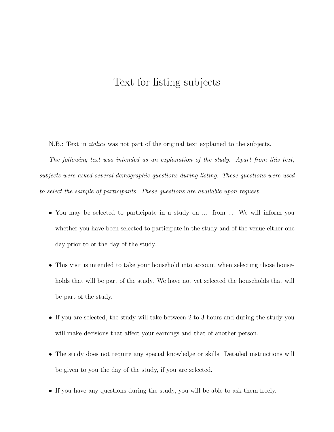# Text for listing subjects

N.B.: Text in *italics* was not part of the original text explained to the subjects.

*The following text was intended as an explanation of the study. Apart from this text, subjects were asked several demographic questions during listing. These questions were used to select the sample of participants. These questions are available upon request.*

- *•* You may be selected to participate in a study on ... from ... We will inform you whether you have been selected to participate in the study and of the venue either one day prior to or the day of the study.
- This visit is intended to take your household into account when selecting those households that will be part of the study. We have not yet selected the households that will be part of the study.
- *•* If you are selected, the study will take between 2 to 3 hours and during the study you will make decisions that affect your earnings and that of another person.
- *•* The study does not require any special knowledge or skills. Detailed instructions will be given to you the day of the study, if you are selected.
- If you have any questions during the study, you will be able to ask them freely.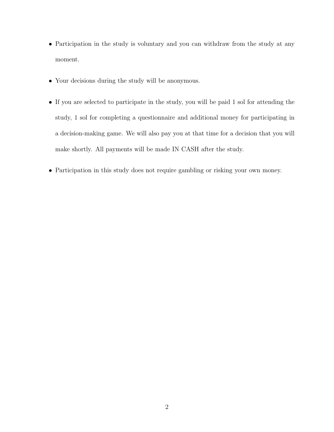- Participation in the study is voluntary and you can withdraw from the study at any moment.
- *•* Your decisions during the study will be anonymous.
- If you are selected to participate in the study, you will be paid 1 sol for attending the study, 1 sol for completing a questionnaire and additional money for participating in a decision-making game. We will also pay you at that time for a decision that you will make shortly. All payments will be made IN CASH after the study.
- *•* Participation in this study does not require gambling or risking your own money.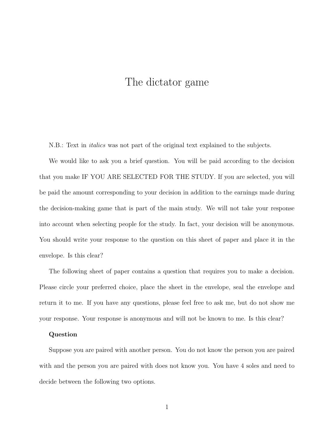# The dictator game

N.B.: Text in *italics* was not part of the original text explained to the subjects.

We would like to ask you a brief question. You will be paid according to the decision that you make IF YOU ARE SELECTED FOR THE STUDY. If you are selected, you will be paid the amount corresponding to your decision in addition to the earnings made during the decision-making game that is part of the main study. We will not take your response into account when selecting people for the study. In fact, your decision will be anonymous. You should write your response to the question on this sheet of paper and place it in the envelope. Is this clear?

The following sheet of paper contains a question that requires you to make a decision. Please circle your preferred choice, place the sheet in the envelope, seal the envelope and return it to me. If you have any questions, please feel free to ask me, but do not show me your response. Your response is anonymous and will not be known to me. Is this clear?

#### **Question**

Suppose you are paired with another person. You do not know the person you are paired with and the person you are paired with does not know you. You have 4 soles and need to decide between the following two options.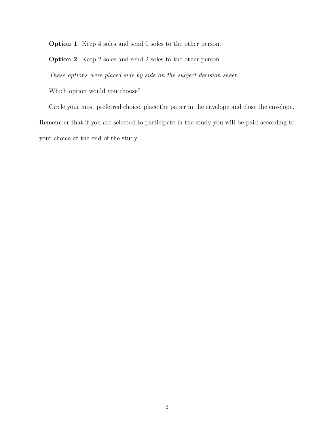**Option 1**: Keep 4 soles and send 0 soles to the other person.

**Option 2**: Keep 2 soles and send 2 soles to the other person.

*These options were placed side by side on the subject decision sheet.*

Which option would you choose?

Circle your most preferred choice, place the paper in the envelope and close the envelope. Remember that if you are selected to participate in the study you will be paid according to your choice at the end of the study.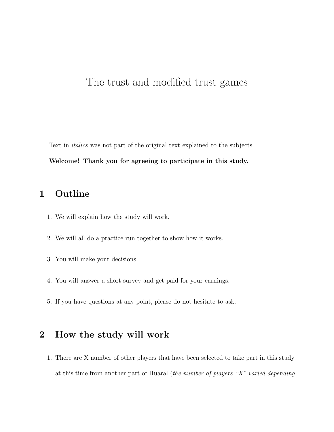# The trust and modified trust games

Text in *italics* was not part of the original text explained to the subjects.

#### **Welcome! Thank you for agreeing to participate in this study.**

### **1 Outline**

- 1. We will explain how the study will work.
- 2. We will all do a practice run together to show how it works.
- 3. You will make your decisions.
- 4. You will answer a short survey and get paid for your earnings.
- 5. If you have questions at any point, please do not hesitate to ask.

## **2 How the study will work**

1. There are X number of other players that have been selected to take part in this study at this time from another part of Huaral (*the number of players "X" varied depending*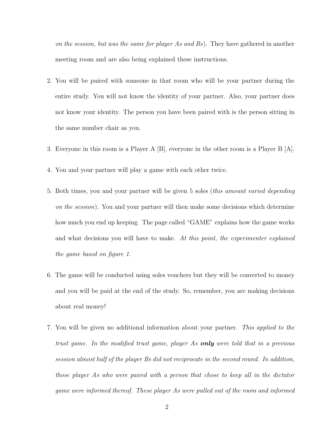*on the session, but was the same for player As and Bs*). They have gathered in another meeting room and are also being explained these instructions.

- 2. You will be paired with someone in that room who will be your partner during the entire study. You will not know the identity of your partner. Also, your partner does not know your identity. The person you have been paired with is the person sitting in the same number chair as you.
- 3. Everyone in this room is a Player A [B], everyone in the other room is a Player B [A].
- 4. You and your partner will play a game with each other twice.
- 5. Both times, you and your partner will be given 5 soles (*this amount varied depending on the session*). You and your partner will then make some decisions which determine how much you end up keeping. The page called "GAME" explains how the game works and what decisions you will have to make. *At this point, the experimenter explained the game based on figure 1.*
- 6. The game will be conducted using soles vouchers but they will be converted to money and you will be paid at the end of the study. So, remember, you are making decisions about real money!
- 7. You will be given no additional information about your partner. *This applied to the trust game. In the modified trust game, player As only were told that in a previous session almost half of the player Bs did not reciprocate in the second round. In addition, those player As who were paired with a person that chose to keep all in the dictator game were informed thereof. These player As were pulled out of the room and informed*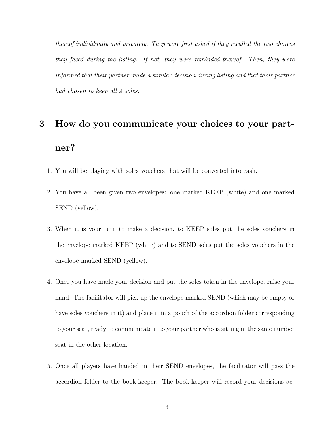*thereof individually and privately. They were first asked if they recalled the two choices they faced during the listing. If not, they were reminded thereof. Then, they were informed that their partner made a similar decision during listing and that their partner had chosen to keep all 4 soles.*

# **3 How do you communicate your choices to your partner?**

- 1. You will be playing with soles vouchers that will be converted into cash.
- 2. You have all been given two envelopes: one marked KEEP (white) and one marked SEND (yellow).
- 3. When it is your turn to make a decision, to KEEP soles put the soles vouchers in the envelope marked KEEP (white) and to SEND soles put the soles vouchers in the envelope marked SEND (yellow).
- 4. Once you have made your decision and put the soles token in the envelope, raise your hand. The facilitator will pick up the envelope marked SEND (which may be empty or have soles vouchers in it) and place it in a pouch of the accordion folder corresponding to your seat, ready to communicate it to your partner who is sitting in the same number seat in the other location.
- 5. Once all players have handed in their SEND envelopes, the facilitator will pass the accordion folder to the book-keeper. The book-keeper will record your decisions ac-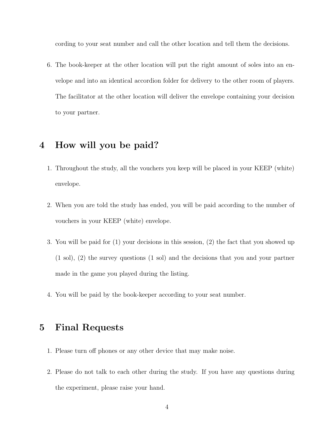cording to your seat number and call the other location and tell them the decisions.

6. The book-keeper at the other location will put the right amount of soles into an envelope and into an identical accordion folder for delivery to the other room of players. The facilitator at the other location will deliver the envelope containing your decision to your partner.

#### **4 How will you be paid?**

- 1. Throughout the study, all the vouchers you keep will be placed in your KEEP (white) envelope.
- 2. When you are told the study has ended, you will be paid according to the number of vouchers in your KEEP (white) envelope.
- 3. You will be paid for (1) your decisions in this session, (2) the fact that you showed up (1 sol), (2) the survey questions (1 sol) and the decisions that you and your partner made in the game you played during the listing.
- 4. You will be paid by the book-keeper according to your seat number.

#### **5 Final Requests**

- 1. Please turn off phones or any other device that may make noise.
- 2. Please do not talk to each other during the study. If you have any questions during the experiment, please raise your hand.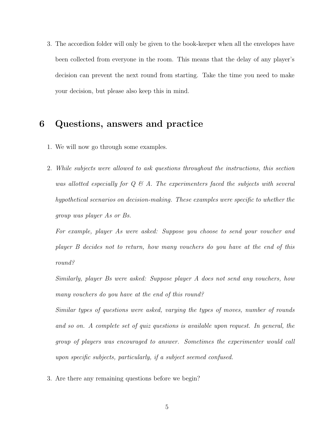3. The accordion folder will only be given to the book-keeper when all the envelopes have been collected from everyone in the room. This means that the delay of any player's decision can prevent the next round from starting. Take the time you need to make your decision, but please also keep this in mind.

#### **6 Questions, answers and practice**

- 1. We will now go through some examples.
- 2. *While subjects were allowed to ask questions throughout the instructions, this section was allotted especially for Q & A. The experimenters faced the subjects with several hypothetical scenarios on decision-making. These examples were specific to whether the group was player As or Bs.*

*For example, player As were asked: Suppose you choose to send your voucher and player B decides not to return, how many vouchers do you have at the end of this round?*

*Similarly, player Bs were asked: Suppose player A does not send any vouchers, how many vouchers do you have at the end of this round?*

*Similar types of questions were asked, varying the types of moves, number of rounds and so on. A complete set of quiz questions is available upon request. In general, the group of players was encouraged to answer. Sometimes the experimenter would call upon specific subjects, particularly, if a subject seemed confused.*

3. Are there any remaining questions before we begin?